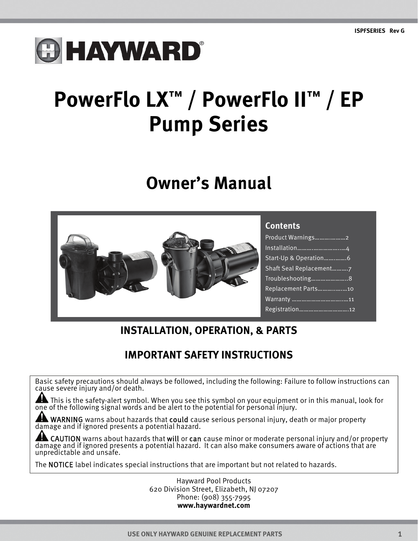# **O HAYWARD®**

## **PowerFlo LX™ / PowerFlo II™ / EP Pump Series**

### **Owner's Manual**



#### **Contents**

| Product Warnings2      |
|------------------------|
| Installation4          |
| Start-Up & Operation6  |
| Shaft Seal Replacement |
| Troubleshooting8       |
| Replacement Parts10    |
|                        |
| Registration12         |

### **INSTALLATION, OPERATION, & PARTS**

#### **IMPORTANT SAFETY INSTRUCTIONS**

Basic safety precautions should always be followed, including the following: Failure to follow instructions can cause severe injury and/or death.

This is the safety-alert symbol. When you see this symbol on your equipment or in this manual, look for one of the following signal words and be alert to the potential for personal injury.

ANING warns about hazards that could cause serious personal injury, death or major property damage and if ignored presents a potential hazard.

CAUTION warns about hazards that will or can cause minor or moderate personal injury and/or property damage and if ignored presents a potential hazard. It can also make consumers aware of actions that are unpredictable and unsafe.

The NOTICE label indicates special instructions that are important but not related to hazards.

Hayward Pool Products 620 Division Street, Elizabeth, NJ 07207 Phone: (908) 355-7995 **www.haywardnet.com**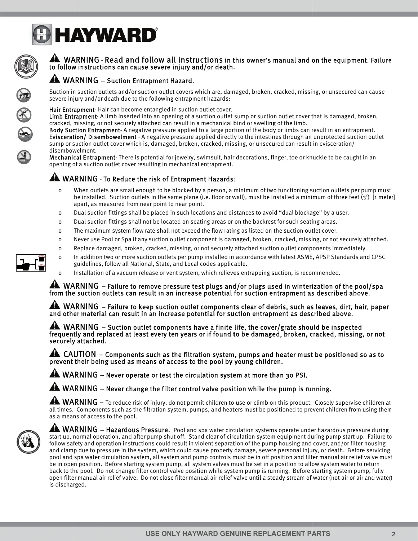



#### A WARNING - Read and follow all instructions in this owner's manual and on the equipment. Failure to follow instructions can cause severe injury and/or death.

#### A WARNING - Suction Entrapment Hazard.

Suction in suction outlets and/or suction outlet covers which are, damaged, broken, cracked, missing, or unsecured can cause severe injury and/or death due to the following entrapment hazards:

Hair Entrapment-Hair can become entangled in suction outlet cover.

Limb Entrapment-A limb inserted into an opening of a suction outlet sump or suction outlet cover that is damaged, broken, cracked, missing, or not securely attached can result in a mechanical bind or swelling of the limb.

Body Suction Entrapment-A negative pressure applied to a large portion of the body or limbs can result in an entrapment. Evisceration/Disembowelment - A negative pressure applied directly to the intestines through an unprotected suction outlet sump or suction outlet cover which is, damaged, broken, cracked, missing, or unsecured can result in evisceration/ disembowelment.

Mechanical Entrapment-There is potential for jewelry, swimsuit, hair decorations, finger, toe or knuckle to be caught in an opening of a suction outlet cover resulting in mechanical entrapment.

#### A WARNING - To Reduce the risk of Entrapment Hazards:

guidelines, follow all National, State, and Local codes applicable.

- When outlets are small enough to be blocked by a person, a minimum of two functioning suction outlets per pump must  $\Omega$ be installed. Suction outlets in the same plane (i.e. floor or wall), must be installed a minimum of three feet  $(3')$  [1 meter] apart, as measured from near point to near point.
- $\Omega$ Dual suction fittings shall be placed in such locations and distances to avoid "dual blockage" by a user.
- Dual suction fittings shall not be located on seating areas or on the backrest for such seating areas.  $\Omega$
- The maximum system flow rate shall not exceed the flow rating as listed on the suction outlet cover.  $\mathbf 0$
- $\mathsf{o}$ Never use Pool or Spa if any suction outlet component is damaged, broken, cracked, missing, or not securely attached.

In addition two or more suction outlets per pump installed in accordance with latest ASME, APSP Standards and CPSC

- Replace damaged, broken, cracked, missing, or not securely attached suction outlet components immediately.  $\mathbf 0$
- 
- Installation of a vacuum release or vent system, which relieves entrapping suction, is recommended.

A WARNING – Failure to remove pressure test plugs and/or plugs used in winterization of the pool/spa from the suction outlets can result in an increase potential for suction entrapment as described above.

 $\blacktriangle$  WARNING – Failure to keep suction outlet components clear of debris, such as leaves, dirt, hair, paper and other material can result in an increase potential for suction entrapment as described above.

**44** WARNING – Suction outlet components have a finite life, the cover/grate should be inspected frequently and replaced at least every ten years or if found to be damaged, broken, cracked, missing, or not securely attached.

4 CAUTION – Components such as the filtration system, pumps and heater must be positioned so as to prevent their being used as means of access to the pool by young children.

WARNING - Never operate or test the circulation system at more than 30 PSI.

A WARNING - Never change the filter control valve position while the pump is running.

 $\triangle$  WARNING – To reduce risk of injury, do not permit children to use or climb on this product. Closely supervise children at all times. Components such as the filtration system, pumps, and heaters must be positioned to prevent children from using them as a means of access to the pool.



A WARNING - Hazardous Pressure. Pool and spa water circulation systems operate under hazardous pressure during start up, normal operation, and after pump shut off. Stand clear of circulation system equipment during pump start up. Failure to follow safety and operation instructions could result in violent separation of the pump housing and cover, and/or filter housing and clamp due to pressure in the system, which could cause property damage, severe personal injury, or death. Before servicing pool and spa water circulation system, all system and pump controls must be in off position and filter manual air relief valve must be in open position. Before starting system pump, all system valves must be set in a position to allow system water to return back to the pool. Do not change filter control valve position while system pump is running. Before starting system pump, fully open filter manual air relief valve. Do not close filter manual air relief valve until a steady stream of water (not air or air and water) is discharged.



 $\mathbf 0$ 

 $\Omega$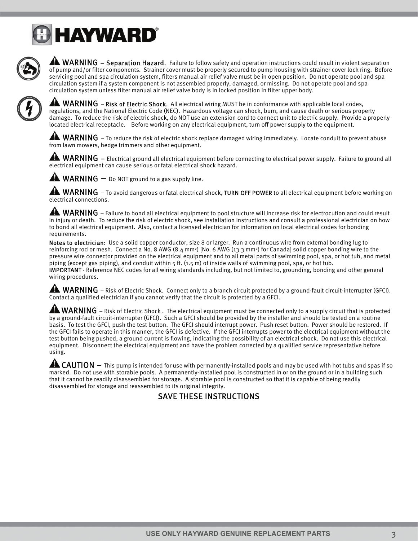

A WARNING – Separation Hazard. Failure to follow safety and operation instructions could result in violent separation of pump and/or filter components. Strainer cover must be properly secured to pump housing with strainer cover lock ring. Before servicing pool and spa circulation system, filters manual air relief valve must be in open position. Do not operate pool and spa circulation system if a system component is not assembled properly, damaged, or missing. Do not operate pool and spa circulation system unless filter manual air relief valve body is in locked position in filter upper body.



**ANUARNING** – Risk of Electric Shock. All electrical wiring MUST be in conformance with applicable local codes, regulations, and the National Electric Code (NEC). Hazardous voltage can shock, burn, and cause death or serious property damage. To reduce the risk of electric shock, do NOT use an extension cord to connect unit to electric supply. Provide a properly located electrical receptacle. Before working on any electrical equipment, turn off power supply to the equipment.

 $\blacktriangle$  WARNING – To reduce the risk of electric shock replace damaged wiring immediately. Locate conduit to prevent abuse from lawn mowers, hedge trimmers and other equipment.

**ANUARNING** – Electrical ground all electrical equipment before connecting to electrical power supply. Failure to ground all electrical equipment can cause serious or fatal electrical shock hazard.



AN WARNING – To avoid dangerous or fatal electrical shock, TURN OFF POWER to all electrical equipment before working on electrical connections.

 $\blacktriangle$  WARNING – Failure to bond all electrical equipment to pool structure will increase risk for electrocution and could result in injury or death. To reduce the risk of electric shock, see installation instructions and consult a professional electrician on how to bond all electrical equipment. Also, contact a licensed electrician for information on local electrical codes for bonding requirements.

Notes to electrician: Use a solid copper conductor, size 8 or larger. Run a continuous wire from external bonding lug to reinforcing rod or mesh. Connect a No. 8 AWG  $(8.4 \text{ mm}^2)$  [No. 6 AWG  $(13.3 \text{ mm}^2)$  for Canada] solid copper bonding wire to the pressure wire connector provided on the electrical equipment and to all metal parts of swimming pool, spa, or hot tub, and metal piping (except gas piping), and conduit within 5 ft. (1.5 m) of inside walls of swimming pool, spa, or hot tub. IMPORTANT - Reference NEC codes for all wiring standards including, but not limited to, grounding, bonding and other general wiring procedures.

**AN** WARNING – Risk of Electric Shock. Connect only to a branch circuit protected by a ground-fault circuit-interrupter (GFCI). Contact a qualified electrician if you cannot verify that the circuit is protected by a GFCI.

A WARNING – Risk of Electric Shock. The electrical equipment must be connected only to a supply circuit that is protected by a ground-fault circuit-interrupter (GFCI). Such a GFCI should be provided by the installer and should be tested on a routine basis. To test the GFCI, push the test button. The GFCI should interrupt power. Push reset button. Power should be restored. If the GFCI fails to operate in this manner, the GFCI is defective. If the GFCI interrupts power to the electrical equipment without the test button being pushed, a ground current is flowing, indicating the possibility of an electrical shock. Do not use this electrical equipment. Disconnect the electrical equipment and have the problem corrected by a qualified service representative before using.

 $\triangle$  CAUTION  $-$  This pump is intended for use with permanently-installed pools and may be used with hot tubs and spas if so marked. Do not use with storable pools. A permanently-installed pool is constructed in or on the ground or in a building such that it cannot be readily disassembled for storage. A storable pool is constructed so that it is capable of being readily disassembled for storage and reassembled to its original integrity.<br>SAVE THESE INSTRUCTIONS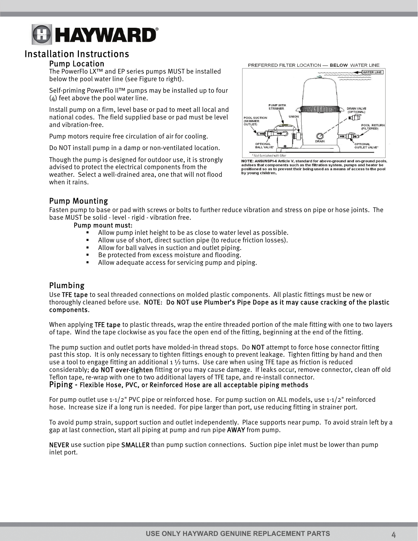#### Installation Instructions

#### Pump Location

The PowerFlo LX™ and EP series pumps MUST be installed below the pool water line (see Figure to right).

Self-priming PowerFlo II™ pumps may be installed up to four (4) feet above the pool water line.

Install pump on a firm, level base or pad to meet all local and national codes. The field supplied base or pad must be level and vibration-free.

Pump motors require free circulation of air for cooling.

Do NOT install pump in a damp or non-ventilated location.

Though the pump is designed for outdoor use, it is strongly advised to protect the electrical components from the weather. Select a well-drained area, one that will not flood when it rains.



PREFERRED FILTER LOCATION - BELOW WATER LINE

#### Pump Mounting

Fasten pump to base or pad with screws or bolts to further reduce vibration and stress on pipe or hose joints. The base MUST be solid - level - rigid - vibration free.

#### Pump mount must:

- Allow pump inlet height to be as close to water level as possible.<br>• Allow use of short, direct suction pine (to reduce friction losses)
- Allow use of short, direct suction pipe (to reduce friction losses).<br>Allow for ball values in suction and outlet pining
- Allow for ball valves in suction and outlet piping.
- Be protected from excess moisture and flooding.
- **Allow adequate access for servicing pump and piping.**

#### Plumbing

Use TFE tape to seal threaded connections on molded plastic components. All plastic fittings must be new or thoroughly cleaned before use. NOTE: Do NOT use Plumber's Pipe Dope as it may cause cracking of the plastic components.

When applying **TFE tape** to plastic threads, wrap the entire threaded portion of the male fitting with one to two layers of tape. Wind the tape clockwise as you face the open end of the fitting, beginning at the end of the fitting.

The pump suction and outlet ports have molded-in thread stops. Do NOT attempt to force hose connector fitting past this stop. It is only necessary to tighten fittings enough to prevent leakage. Tighten fitting by hand and then use a tool to engage fitting an additional 1  $\frac{1}{2}$  turns. Use care when using TFE tape as friction is reduced considerably; do NOT over-tighten fitting or you may cause damage. If leaks occur, remove connector, clean off old Teflon tape, re-wrap with one to two additional layers of TFE tape, and re-install connector. Piping - Flexible Hose, PVC, or Reinforced Hose are all acceptable piping methods

For pump outlet use 1-1/2" PVC pipe or reinforced hose. For pump suction on ALL models, use 1-1/2" reinforced hose. Increase size if a long run is needed. For pipe larger than port, use reducing fitting in strainer port.

To avoid pump strain, support suction and outlet independently. Place supports near pump. To avoid strain left by a gap at last connection, start all piping at pump and run pipe AWAY from pump.

NEVER use suction pipe SMALLER than pump suction connections. Suction pipe inlet must be lower than pump inlet port.

advises that components such as the filtration system, pumps and heater be<br>positioned so as to prevent their being used as a means of access to the pool by young children.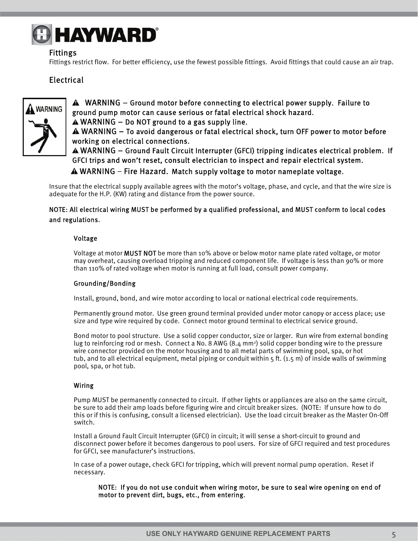#### Fittings

Fittings restrict flow. For better efficiency, use the fewest possible fittings. Avoid fittings that could cause an air trap.

#### **Electrical**



 WARNING – Ground motor before connecting to electrical power supply. Failure to ground pump motor can cause serious or fatal electrical shock hazard.

 $\triangle$  WARNING – Do NOT ground to a gas supply line.

WARNING – To avoid dangerous or fatal electrical shock, turn OFF power to motor before working on electrical connections.

WARNING – Ground Fault Circuit Interrupter (GFCI) tripping indicates electrical problem. If GFCI trips and won't reset, consult electrician to inspect and repair electrical system.  $\triangle$  WARNING – Fire Hazard. Match supply voltage to motor nameplate voltage.

Insure that the electrical supply available agrees with the motor's voltage, phase, and cycle, and that the wire size is adequate for the H.P. (KW) rating and distance from the power source.

#### NOTE: All electrical wiring MUST be performed by a qualified professional, and MUST conform to local codes and regulations.

#### Voltage

Voltage at motor MUST NOT be more than 10% above or below motor name plate rated voltage, or motor may overheat, causing overload tripping and reduced component life. If voltage is less than 90% or more than 110% of rated voltage when motor is running at full load, consult power company.

#### Grounding/Bonding

Install, ground, bond, and wire motor according to local or national electrical code requirements.

Permanently ground motor. Use green ground terminal provided under motor canopy or access place; use size and type wire required by code. Connect motor ground terminal to electrical service ground.

Bond motor to pool structure. Use a solid copper conductor, size or larger. Run wire from external bonding lug to reinforcing rod or mesh. Connect a No. 8 AWG (8.4 mm2) solid copper bonding wire to the pressure wire connector provided on the motor housing and to all metal parts of swimming pool, spa, or hot tub, and to all electrical equipment, metal piping or conduit within 5 ft. (1.5 m) of inside walls of swimming pool, spa, or hot tub.

#### Wiring

Pump MUST be permanently connected to circuit. If other lights or appliances are also on the same circuit, be sure to add their amp loads before figuring wire and circuit breaker sizes. (NOTE: If unsure how to do this or if this is confusing, consult a licensed electrician). Use the load circuit breaker as the Master On-Off switch.

Install a Ground Fault Circuit Interrupter (GFCI) in circuit; it will sense a short-circuit to ground and disconnect power before it becomes dangerous to pool users. For size of GFCI required and test procedures for GFCI, see manufacturer's instructions.

In case of a power outage, check GFCI for tripping, which will prevent normal pump operation. Reset if necessary.

NOTE: If you do not use conduit when wiring motor, be sure to seal wire opening on end of motor to prevent dirt, bugs, etc., from entering.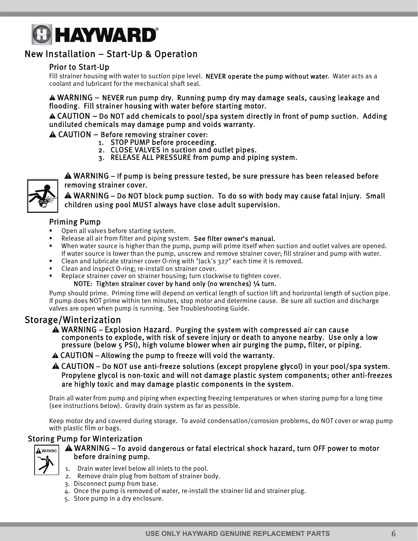## **HAYWARD®**

#### New Installation – Start-Up & Operation

#### Prior to Start-Up

Fill strainer housing with water to suction pipe level. NEVER operate the pump without water. Water acts as a coolant and lubricant for the mechanical shaft seal.

WARNING – NEVER run pump dry. Running pump dry may damage seals, causing leakage and flooding. Fill strainer housing with water before starting motor.

CAUTION – Do NOT add chemicals to pool/spa system directly in front of pump suction. Adding undiluted chemicals may damage pump and voids warranty.

CAUTION – Before removing strainer cover:

- 1. STOP PUMP before proceeding.
- 2. CLOSE VALVES in suction and outlet pipes.
- 3. RELEASE ALL PRESSURE from pump and piping system.



WARNING – If pump is being pressure tested, be sure pressure has been released before removing strainer cover.

WARNING – Do NOT block pump suction. To do so with body may cause fatal injury. Small children using pool MUST always have close adult supervision.

#### Priming Pump

- Open all valves before starting system.
- Release all air from filter and piping system. See filter owner's manual.
- When water source is higher than the pump, pump will prime itself when suction and outlet valves are opened. If water source is lower than the pump, unscrew and remove strainer cover; fill strainer and pump with water.
- Clean and lubricate strainer cover O-ring with "Jack's 327" each time it is removed.
- Clean and inspect O-ring: re-install on strainer cover.
- Replace strainer cover on strainer housing; turn clockwise to tighten cover.

NOTE: Tighten strainer cover by hand only (no wrenches) 1/4 turn.

Pump should prime. Priming time will depend on vertical length of suction lift and horizontal length of suction pipe. If pump does NOT prime within ten minutes, stop motor and determine cause. Be sure all suction and discharge valves are open when pump is running. See Troubleshooting Guide.

#### Storage/Winterization

- WARNING Explosion Hazard. Purging the system with compressed air can cause components to explode, with risk of severe injury or death to anyone nearby. Use only a low pressure (below 5 PSI), high volume blower when air purging the pump, filter, or piping.
- CAUTION Allowing the pump to freeze will void the warranty.
- CAUTION Do NOT use anti-freeze solutions (except propylene glycol) in your pool/spa system. Propylene glycol is non-toxic and will not damage plastic system components; other anti-freezes are highly toxic and may damage plastic components in the system.

Drain all water from pump and piping when expecting freezing temperatures or when storing pump for a long time (see instructions below). Gravity drain system as far as possible.

Keep motor dry and covered during storage. To avoid condensation/corrosion problems, do NOT cover or wrap pump with plastic film or bags.

#### Storing Pump for Winterization



#### WARNING – To avoid dangerous or fatal electrical shock hazard, turn OFF power to motor before draining pump.

- 1. Drain water level below all inlets to the pool.
- 2. Remove drain plug from bottom of strainer body.
- 3. Disconnect pump from base.
- 4. Once the pump is removed of water, re-install the strainer lid and strainer plug.
- 5. Store pump in a dry enclosure.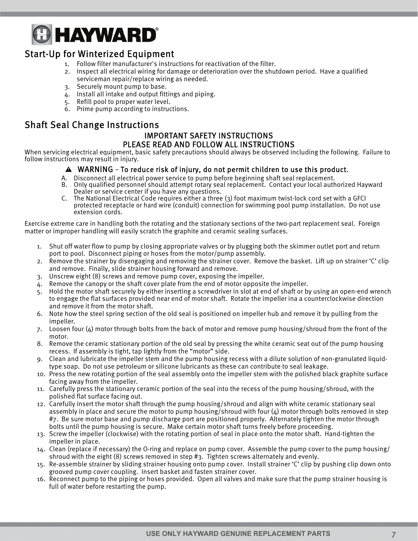#### Start-Up for Winterized Equipment

- 1. Follow filter manufacturer's instructions for reactivation of the filter.
- 2. Inspect all electrical wiring for damage or deterioration over the shutdown period. Have a qualified serviceman repair/replace wiring as needed.
- 3. Securely mount pump to base.
- 4. Install all intake and output fittings and piping.
- 5. Refill pool to proper water level.
- 6. Prime pump according to instructions.

#### Shaft Seal Change Instructions

#### IMPORTANT SAFETY INSTRUCTIONS PLEASE READ AND FOLLOW ALL INSTRUCTIONS

When servicing electrical equipment, basic safety precautions should always be observed including the following. Failure to follow instructions may result in injury.

#### WARNING – To reduce risk of injury, do not permit children to use this product.

- A. Disconnect all electrical power service to pump before beginning shaft seal replacement.
- B. Only qualified personnel should attempt rotary seal replacement. Contact your local authorized Hayward Dealer or service center if you have any questions.
- C. The National Electrical Code requires either a three (3) foot maximum twist-lock cord set with a GFCI protected receptacle or hard wire (conduit) connection for swimming pool pump installation. Do not use extension cords.

Exercise extreme care in handling both the rotating and the stationary sections of the two-part replacement seal. Foreign matter or improper handling will easily scratch the graphite and ceramic sealing surfaces.

- 1. Shut off water flow to pump by closing appropriate valves or by plugging both the skimmer outlet port and return port to pool. Disconnect piping or hoses from the motor/pump assembly.
- 2. Remove the strainer by disengaging and removing the strainer cover. Remove the basket. Lift up on strainer 'C' clip and remove. Finally, slide strainer housing forward and remove.
- 3. Unscrew eight (8) screws and remove pump cover, exposing the impeller.
- 4. Remove the canopy or the shaft cover plate from the end of motor opposite the impeller.
- 5. Hold the motor shaft securely by either inserting a screwdriver in slot at end of shaft or by using an open-end wrench to engage the flat surfaces provided near end of motor shaft. Rotate the impeller ina a counterclockwise direction and remove it from the motor shaft.
- 6. Note how the steel spring section of the old seal is positioned on impeller hub and remove it by pulling from the impeller.
- 7. Loosen four  $(4)$  motor through bolts from the back of motor and remove pump housing/shroud from the front of the motor.
- 8. Remove the ceramic stationary portion of the old seal by pressing the white ceramic seat out of the pump housing recess. If assembly is tight, tap lightly from the "motor" side.
- 9. Clean and lubricate the impeller stem and the pump housing recess with a dilute solution of non-granulated liquidtype soap. Do not use petroleum or silicone lubricants as these can contribute to seal leakage.
- 10. Press the new rotating portion of the seal assembly onto the impeller stem with the polished black graphite surface facing away from the impeller.
- 11. Carefully press the stationary ceramic portion of the seal into the recess of the pump housing/shroud, with the polished flat surface facing out.
- 12. Carefully insert the motor shaft through the pump housing/shroud and align with white ceramic stationary seal assembly in place and secure the motor to pump housing/shroud with four  $(4)$  motor through bolts removed in step #7. Be sure motor base and pump discharge port are positioned properly. Alternately tighten the motor through bolts until the pump housing is secure. Make certain motor shaft turns freely before proceeding.
- 13. Screw the impeller (clockwise) with the rotating portion of seal in place onto the motor shaft. Hand-tighten the impeller in place.
- 14. Clean (replace if necessary) the O-ring and replace on pump cover. Assemble the pump cover to the pump housing/ shroud with the eight (8) screws removed in step #3. Tighten screws alternately and evenly.
- 15. Re-assemble strainer by sliding strainer housing onto pump cover. Install strainer 'C' clip by pushing clip down onto grooved pump cover coupling. Insert basket and fasten strainer cover.
- 16. Reconnect pump to the piping or hoses provided. Open all valves and make sure that the pump strainer housing is full of water before restarting the pump.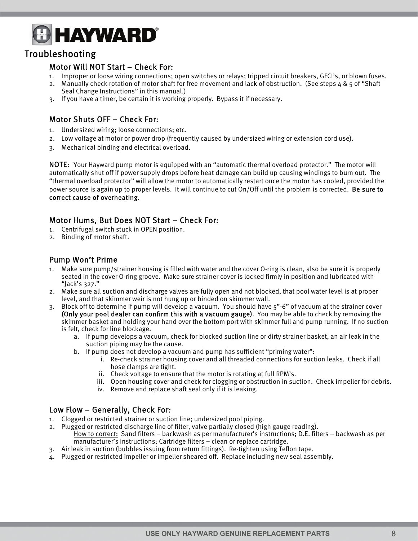#### Troubleshooting

#### Motor Will NOT Start – Check For:

- 1. Improper or loose wiring connections; open switches or relays; tripped circuit breakers, GFCI's, or blown fuses.
- 2. Manually check rotation of motor shaft for free movement and lack of obstruction. (See steps 4 & 5 of "Shaft Seal Change Instructions" in this manual.)
- 3. If you have a timer, be certain it is working properly. Bypass it if necessary.

#### Motor Shuts OFF – Check For:

- 1. Undersized wiring; loose connections; etc.
- 2. Low voltage at motor or power drop (frequently caused by undersized wiring or extension cord use).
- 3. Mechanical binding and electrical overload.

NOTE: Your Hayward pump motor is equipped with an "automatic thermal overload protector." The motor will automatically shut off if power supply drops before heat damage can build up causing windings to burn out. The "thermal overload protector" will allow the motor to automatically restart once the motor has cooled, provided the power source is again up to proper levels. It will continue to cut On/Off until the problem is corrected. Be sure to correct cause of overheating.

#### Motor Hums, But Does NOT Start – Check For:

- 1. Centrifugal switch stuck in OPEN position.
- 2. Binding of motor shaft.

#### Pump Won't Prime

- 1. Make sure pump/strainer housing is filled with water and the cover O-ring is clean, also be sure it is properly seated in the cover O-ring groove. Make sure strainer cover is locked firmly in position and lubricated with "Jack's 327."
- 2. Make sure all suction and discharge valves are fully open and not blocked, that pool water level is at proper level, and that skimmer weir is not hung up or binded on skimmer wall.
- 3. Block off to determine if pump will develop a vacuum. You should have 5"-6" of vacuum at the strainer cover (Only your pool dealer can confirm this with a vacuum gauge). You may be able to check by removing the skimmer basket and holding your hand over the bottom port with skimmer full and pump running. If no suction is felt, check for line blockage.
	- a. If pump develops a vacuum, check for blocked suction line or dirty strainer basket, an air leak in the suction piping may be the cause.
	- b. If pump does not develop a vacuum and pump has sufficient "priming water":
		- i. Re-check strainer housing cover and all threaded connections for suction leaks. Check if all hose clamps are tight.
		- ii. Check voltage to ensure that the motor is rotating at full RPM's.
		- iii. Open housing cover and check for clogging or obstruction in suction. Check impeller for debris.
		- iv. Remove and replace shaft seal only if it is leaking.

#### Low Flow – Generally, Check For:

- 1. Clogged or restricted strainer or suction line; undersized pool piping.
- 2. Plugged or restricted discharge line of filter, valve partially closed (high gauge reading). How to correct: Sand filters – backwash as per manufacturer's instructions; D.E. filters – backwash as per manufacturer's instructions; Cartridge filters – clean or replace cartridge.
- 3. Air leak in suction (bubbles issuing from return fittings). Re-tighten using Teflon tape.
- 4. Plugged or restricted impeller or impeller sheared off. Replace including new seal assembly.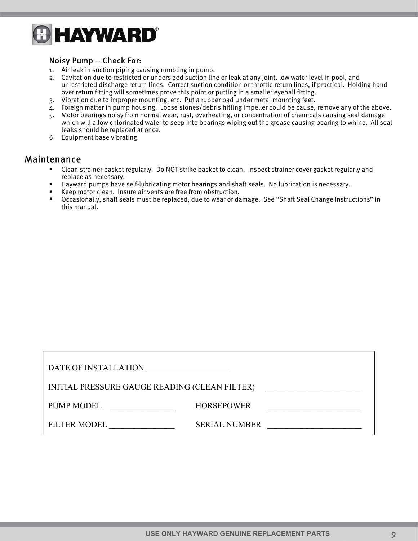

#### Noisy Pump – Check For:

- 1. Air leak in suction piping causing rumbling in pump.
- 2. Cavitation due to restricted or undersized suction line or leak at any joint, low water level in pool, and unrestricted discharge return lines. Correct suction condition or throttle return lines, if practical. Holding hand over return fitting will sometimes prove this point or putting in a smaller eyeball fitting.
- 3. Vibration due to improper mounting, etc. Put a rubber pad under metal mounting feet.
- 4. Foreign matter in pump housing. Loose stones/debris hitting impeller could be cause, remove any of the above.
- 5. Motor bearings noisy from normal wear, rust, overheating, or concentration of chemicals causing seal damage which will allow chlorinated water to seep into bearings wiping out the grease causing bearing to whine. All seal leaks should be replaced at once.
- 6. Equipment base vibrating.

#### Maintenance

- Clean strainer basket regularly. Do NOT strike basket to clean. Inspect strainer cover gasket regularly and replace as necessary.
- Hayward pumps have self-lubricating motor bearings and shaft seals. No lubrication is necessary.
- Keep motor clean. Insure air vents are free from obstruction.
- Occasionally, shaft seals must be replaced, due to wear or damage. See "Shaft Seal Change Instructions" in this manual.

| DATE OF INSTALLATION                          |                      |  |  |  |  |
|-----------------------------------------------|----------------------|--|--|--|--|
| INITIAL PRESSURE GAUGE READING (CLEAN FILTER) |                      |  |  |  |  |
| <b>PUMP MODEL</b>                             | <b>HORSEPOWER</b>    |  |  |  |  |
| <b>FILTER MODEL</b>                           | <b>SERIAL NUMBER</b> |  |  |  |  |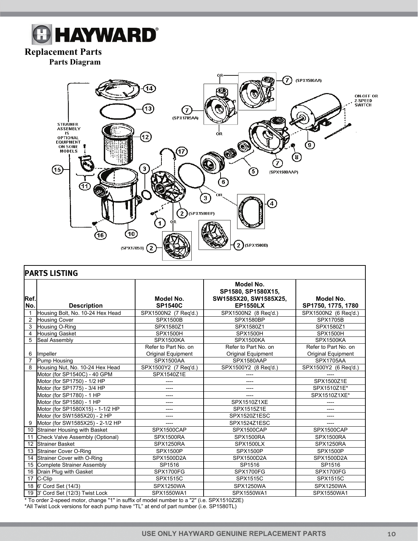## **& HAYWARD®**

#### **Replacement Parts**

**Parts Diagram** 



| <b>PARTS LISTING</b>    |                                                                                           |                             |                                                                             |                                 |  |
|-------------------------|-------------------------------------------------------------------------------------------|-----------------------------|-----------------------------------------------------------------------------|---------------------------------|--|
| Ref.<br>No.             | <b>Description</b>                                                                        | Model No.<br><b>SP1540C</b> | Model No.<br>SP1580, SP1580X15,<br>SW1585X20, SW1585X25,<br><b>EP1550LX</b> | Model No.<br>SP1750, 1775, 1780 |  |
| $\mathbf{1}$            | Housing Bolt, No. 10-24 Hex Head                                                          | SPX1500N2 (7 Req'd.)        | SPX1500N2 (8 Req'd.)                                                        | SPX1500N2 (6 Req'd.)            |  |
| $\overline{2}$          | <b>Housing Cover</b>                                                                      | <b>SPX1500B</b>             | <b>SPX1580BP</b>                                                            | <b>SPX1705B</b>                 |  |
| 3                       | Housing O-Ring                                                                            | SPX1580Z1                   | SPX1580Z1                                                                   | SPX1580Z1                       |  |
| $\overline{\mathbf{4}}$ | <b>Housing Gasket</b>                                                                     | <b>SPX1500H</b>             | <b>SPX1500H</b>                                                             | <b>SPX1500H</b>                 |  |
| 5                       | Seal Assembly                                                                             | SPX1500KA                   | SPX1500KA                                                                   | SPX1500KA                       |  |
|                         |                                                                                           | Refer to Part No. on        | Refer to Part No. on                                                        | Refer to Part No. on            |  |
| 6                       | Impeller                                                                                  | <b>Original Equipment</b>   | <b>Original Equipment</b>                                                   | <b>Original Equipment</b>       |  |
| $\overline{7}$          | Pump Housing                                                                              | SPX1500AA                   | SPX1580AAP                                                                  | <b>SPX1705AA</b>                |  |
| 8                       | Housing Nut, No. 10-24 Hex Head                                                           | SPX1500Y2 (7 Req'd.)        | SPX1500Y2 (8 Req'd.)                                                        | SPX1500Y2 (6 Req'd.)            |  |
|                         | Motor (for SP1540C) - 40 GPM                                                              | SPX1540Z1E                  |                                                                             |                                 |  |
|                         | Motor (for SP1750) - 1/2 HP                                                               |                             | ----                                                                        | SPX1500Z1E                      |  |
|                         | Motor (for SP1775) - 3/4 HP                                                               | ----                        | $---$                                                                       | SPX1510Z1E*                     |  |
|                         | Motor (for SP1780) - 1 HP                                                                 | ----                        | ----                                                                        | SPX1510Z1XE*                    |  |
|                         | Motor (for SP1580) - 1 HP                                                                 | ----                        | SPX1510Z1XE                                                                 | ----                            |  |
|                         | Motor (for SP1580X15) - 1-1/2 HP                                                          | ----                        | SPX1515Z1E                                                                  | ----                            |  |
|                         | Motor (for SW1585X20) - 2 HP                                                              | ----                        | SPX1520Z1ESC                                                                | ----                            |  |
| 9                       | Motor (for SW1585X25) - 2-1/2 HP                                                          | ----                        | SPX1524Z1ESC                                                                | ----                            |  |
| 10                      | Strainer Housing with Basket                                                              | SPX1500CAP                  | SPX1500CAP                                                                  | SPX1500CAP                      |  |
| 11                      | Check Valve Assembly (Optional)                                                           | SPX1500RA                   | SPX1500RA                                                                   | SPX1500RA                       |  |
| 12                      | <b>Strainer Basket</b>                                                                    | SPX1250RA                   | SPX1500LX                                                                   | SPX1250RA                       |  |
| 13                      | <b>Strainer Cover O-Ring</b>                                                              | <b>SPX1500P</b>             | <b>SPX1500P</b>                                                             | <b>SPX1500P</b>                 |  |
| 14                      | Strainer Cover with O-Ring                                                                | SPX1500D2A                  | SPX1500D2A                                                                  | SPX1500D2A                      |  |
| 15                      | <b>Complete Strainer Assembly</b>                                                         | SP1516                      | SP1516                                                                      | SP1516                          |  |
| 16                      | Drain Plug with Gasket                                                                    | <b>SPX1700FG</b>            | <b>SPX1700FG</b>                                                            | <b>SPX1700FG</b>                |  |
|                         | $\overline{17}$ C-Clip                                                                    | SPX1515C                    | <b>SPX1515C</b>                                                             | <b>SPX1515C</b>                 |  |
|                         | 18 6' Cord Set (14/3)                                                                     | SPX1250WA                   | SPX1250WA                                                                   | SPX1250WA                       |  |
|                         | 19 3' Cord Set (12/3) Twist Lock                                                          | SPX1550WA1                  | SPX1550WA1                                                                  | SPX1550WA1                      |  |
|                         | * To order 2-speed motor, change "1" in suffix of model number to a "2" (i.e. SPX1510Z2E) |                             |                                                                             |                                 |  |

\*All Twist Lock versions for each pump have "TL" at end of part number (i.e. SP1580TL)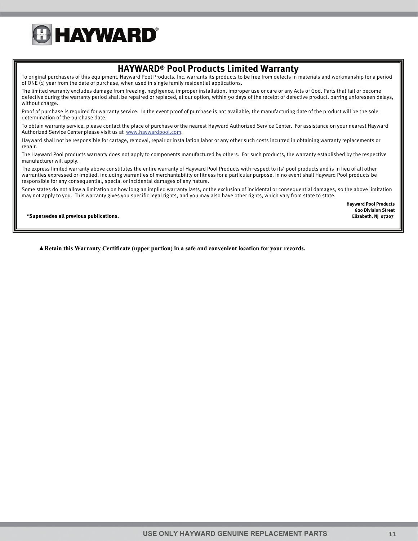

#### **HAYWARD® Pool Products Limited Warranty**

To original purchasers of this equipment, Hayward Pool Products, Inc. warrants its products to be free from defects in materials and workmanship for a period of ONE (1) year from the date of purchase, when used in single family residential applications.

The limited warranty excludes damage from freezing, negligence, improper installation, improper use or care or any Acts of God. Parts that fail or become defective during the warranty period shall be repaired or replaced, at our option, within 90 days of the receipt of defective product, barring unforeseen delays, without charge.

Proof of purchase is required for warranty service. In the event proof of purchase is not available, the manufacturing date of the product will be the sole determination of the purchase date.

To obtain warranty service, please contact the place of purchase or the nearest Hayward Authorized Service Center. For assistance on your nearest Hayward Authorized Service Center please visit us at www.haywardpool.com.

Hayward shall not be responsible for cartage, removal, repair or installation labor or any other such costs incurred in obtaining warranty replacements or repair.

The Hayward Pool products warranty does not apply to components manufactured by others. For such products, the warranty established by the respective manufacturer will apply.

The express limited warranty above constitutes the entire warranty of Hayward Pool Products with respect to its' pool products and is in lieu of all other warranties expressed or implied, including warranties of merchantability or fitness for a particular purpose. In no event shall Hayward Pool products be responsible for any consequential, special or incidental damages of any nature.

Some states do not allow a limitation on how long an implied warranty lasts, or the exclusion of incidental or consequential damages, so the above limitation may not apply to you. This warranty gives you specific legal rights, and you may also have other rights, which vary from state to state.

> **Hayward Pool Products 620 Division Street**

**\*Supersedes all previous publications. Elizabeth, NJ 07207** 

 **▲Retain this Warranty Certificate (upper portion) in a safe and convenient location for your records.**